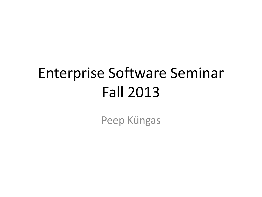# Enterprise Software Seminar Fall 2013

Peep Küngas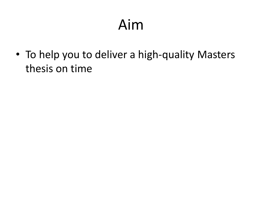## Aim

• To help you to deliver a high-quality Masters thesis on time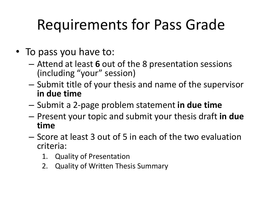# Requirements for Pass Grade

- To pass you have to:
	- Attend at least **6** out of the 8 presentation sessions (including "your" session)
	- Submit title of your thesis and name of the supervisor **in due time**
	- Submit a 2-page problem statement **in due time**
	- Present your topic and submit your thesis draft **in due time**
	- Score at least 3 out of 5 in each of the two evaluation criteria:
		- 1. Quality of Presentation
		- 2. Quality of Written Thesis Summary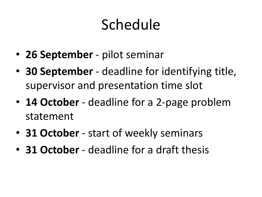# Schedule

- **26 September** pilot seminar
- **30 September**  deadline for identifying title, supervisor and presentation time slot
- **14 October** deadline for a 2-page problem statement
- **31 October**  start of weekly seminars
- **31 October**  deadline for a draft thesis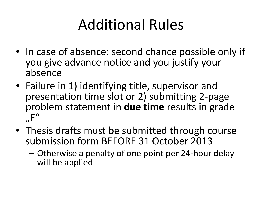## Additional Rules

- In case of absence: second chance possible only if you give advance notice and you justify your absence
- Failure in 1) identifying title, supervisor and presentation time slot or 2) submitting 2-page problem statement in **due time** results in grade  $n<sup>''</sup>$
- Thesis drafts must be submitted through course submission form BEFORE 31 October 2013
	- Otherwise a penalty of one point per 24‐hour delay will be applied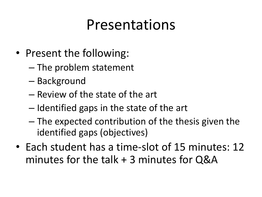### Presentations

- Present the following:
	- The problem statement
	- Background
	- Review of the state of the art
	- Identified gaps in the state of the art
	- The expected contribution of the thesis given the identified gaps (objectives)
- Each student has a time-slot of 15 minutes: 12 minutes for the talk + 3 minutes for Q&A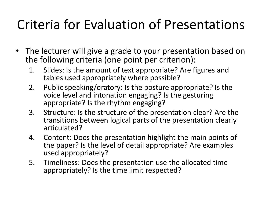### Criteria for Evaluation of Presentations

- The lecturer will give a grade to your presentation based on the following criteria (one point per criterion):
	- 1. Slides: Is the amount of text appropriate? Are figures and tables used appropriately where possible?
	- 2. Public speaking/oratory: Is the posture appropriate? Is the voice level and intonation engaging? Is the gesturing appropriate? Is the rhythm engaging?
	- 3. Structure: Is the structure of the presentation clear? Are the transitions between logical parts of the presentation clearly articulated?
	- 4. Content: Does the presentation highlight the main points of the paper? Is the level of detail appropriate? Are examples used appropriately?
	- 5. Timeliness: Does the presentation use the allocated time appropriately? Is the time limit respected?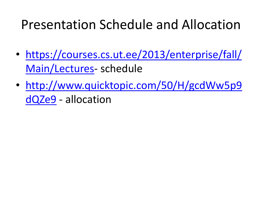#### Presentation Schedule and Allocation

- [https://courses.cs.ut.ee/2013/enterprise/fall/](https://courses.cs.ut.ee/2013/enterprise/fall/Main/Lectures) [Main/Lectures](https://courses.cs.ut.ee/2013/enterprise/fall/Main/Lectures)- schedule
- [http://www.quicktopic.com/50/H/gcdWw5p9](http://www.quicktopic.com/50/H/gcdWw5p9dQZe9) [dQZe9](http://www.quicktopic.com/50/H/gcdWw5p9dQZe9) - allocation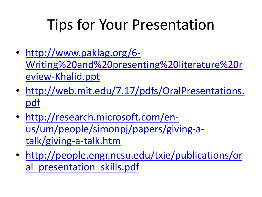## Tips for Your Presentation

- [http://www.paklag.org/6-](http://www.paklag.org/6-Writing and presenting literature review-Khalid.ppt) [Writing%20and%20presenting%20literature%20r](http://www.paklag.org/6-Writing and presenting literature review-Khalid.ppt) [eview-Khalid.ppt](http://www.paklag.org/6-Writing and presenting literature review-Khalid.ppt)
- [http://web.mit.edu/7.17/pdfs/OralPresentations.](http://web.mit.edu/7.17/pdfs/OralPresentations.pdf) [pdf](http://web.mit.edu/7.17/pdfs/OralPresentations.pdf)
- [http://research.microsoft.com/en](http://research.microsoft.com/en-us/um/people/simonpj/papers/giving-a-talk/giving-a-talk.htm)[us/um/people/simonpj/papers/giving-a](http://research.microsoft.com/en-us/um/people/simonpj/papers/giving-a-talk/giving-a-talk.htm)[talk/giving-a-talk.htm](http://research.microsoft.com/en-us/um/people/simonpj/papers/giving-a-talk/giving-a-talk.htm)
- [http://people.engr.ncsu.edu/txie/publications/or](http://people.engr.ncsu.edu/txie/publications/oral_presentation_skills.pdf) al presentation skills.pdf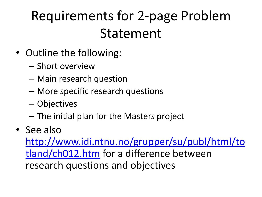### Requirements for 2-page Problem Statement

- Outline the following:
	- Short overview
	- Main research question
	- More specific research questions
	- Objectives
	- The initial plan for the Masters project
- See also

[http://www.idi.ntnu.no/grupper/su/publ/html/to](http://www.idi.ntnu.no/grupper/su/publ/html/totland/ch012.htm) [tland/ch012.htm](http://www.idi.ntnu.no/grupper/su/publ/html/totland/ch012.htm) for a difference between research questions and objectives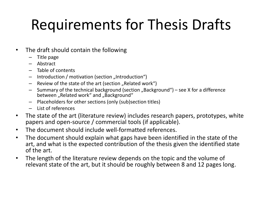# Requirements for Thesis Drafts

- The draft should contain the following
	- Title page
	- Abstract
	- Table of contents
	- Introduction / motivation (section "Introduction")
	- $-$  Review of the state of the art (section "Related work")
	- $-$  Summary of the technical background (section "Background") see X for a difference between "Related work" and "Background"
	- Placeholders for other sections (only (sub)section titles)
	- List of references
- The state of the art (literature review) includes research papers, prototypes, white papers and open-source / commercial tools (if applicable).
- The document should include well-formatted references.
- The document should explain what gaps have been identified in the state of the art, and what is the expected contribution of the thesis given the identified state of the art.
- The length of the literature review depends on the topic and the volume of relevant state of the art, but it should be roughly between 8 and 12 pages long.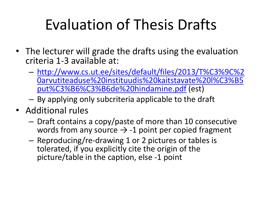# Evaluation of Thesis Drafts

- The lecturer will grade the drafts using the evaluation criteria 1-3 available at:
	- [http://www.cs.ut.ee/sites/default/files/2013/T%C3%9C%2](http://www.cs.ut.ee/sites/default/files/2013/T%C3%9C arvutiteaduse instituudis kaitstavate l%C3%B5put%C3%B6%C3%B6de hindamine.pdf) [0arvutiteaduse%20instituudis%20kaitstavate%20l%C3%B5](http://www.cs.ut.ee/sites/default/files/2013/T%C3%9C arvutiteaduse instituudis kaitstavate l%C3%B5put%C3%B6%C3%B6de hindamine.pdf) [put%C3%B6%C3%B6de%20hindamine.pdf](http://www.cs.ut.ee/sites/default/files/2013/T%C3%9C arvutiteaduse instituudis kaitstavate l%C3%B5put%C3%B6%C3%B6de hindamine.pdf) (est)
	- By applying only subcriteria applicable to the draft
- Additional rules
	- Draft contains a copy/paste of more than 10 consecutive words from any source  $\rightarrow$  -1 point per copied fragment
	- Reproducing/re‐drawing 1 or 2 pictures or tables is tolerated, if you explicitly cite the origin of the picture/table in the caption, else ‐1 point